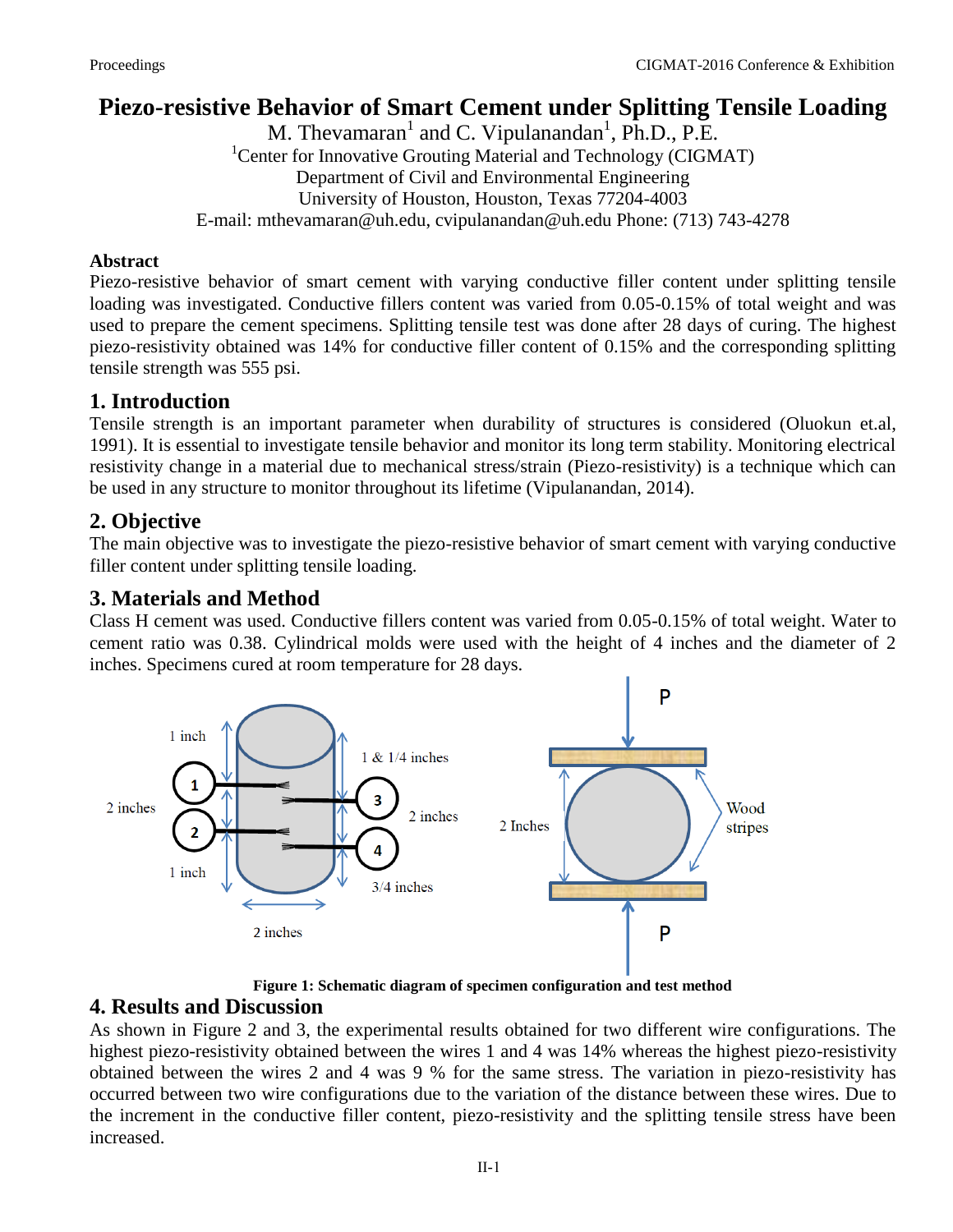# **Piezo-resistive Behavior of Smart Cement under Splitting Tensile Loading**

M. Thevamaran<sup>1</sup> and C. Vipulanandan<sup>1</sup>, Ph.D., P.E. <sup>1</sup>Center for Innovative Grouting Material and Technology (CIGMAT) Department of Civil and Environmental Engineering University of Houston, Houston, Texas 77204-4003 E-mail: [mthevamaran@uh.edu,](mailto:mthevamaran@uh.edu) cvipulanandan@uh.edu Phone: (713) 743-4278

#### **Abstract**

Piezo-resistive behavior of smart cement with varying conductive filler content under splitting tensile loading was investigated. Conductive fillers content was varied from 0.05-0.15% of total weight and was used to prepare the cement specimens. Splitting tensile test was done after 28 days of curing. The highest piezo-resistivity obtained was 14% for conductive filler content of 0.15% and the corresponding splitting tensile strength was 555 psi.

### **1. Introduction**

Tensile strength is an important parameter when durability of structures is considered (Oluokun et.al, 1991). It is essential to investigate tensile behavior and monitor its long term stability. Monitoring electrical resistivity change in a material due to mechanical stress/strain (Piezo-resistivity) is a technique which can be used in any structure to monitor throughout its lifetime (Vipulanandan, 2014).

## **2. Objective**

The main objective was to investigate the piezo-resistive behavior of smart cement with varying conductive filler content under splitting tensile loading.

### **3. Materials and Method**

Class H cement was used. Conductive fillers content was varied from 0.05-0.15% of total weight. Water to cement ratio was 0.38. Cylindrical molds were used with the height of 4 inches and the diameter of 2 inches. Specimens cured at room temperature for 28 days.



**Figure 1: Schematic diagram of specimen configuration and test method** 

#### **4. Results and Discussion**

As shown in Figure 2 and 3, the experimental results obtained for two different wire configurations. The highest piezo-resistivity obtained between the wires 1 and 4 was 14% whereas the highest piezo-resistivity obtained between the wires 2 and 4 was 9 % for the same stress. The variation in piezo-resistivity has occurred between two wire configurations due to the variation of the distance between these wires. Due to the increment in the conductive filler content, piezo-resistivity and the splitting tensile stress have been increased.